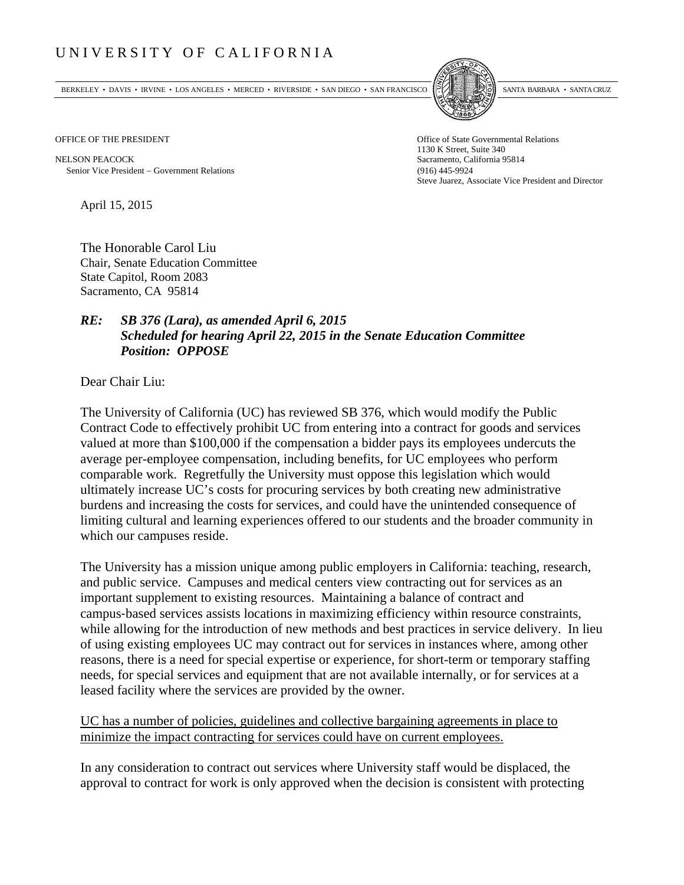## UNIVERSITY OF CALIFORNIA

BERKELEY • DAVIS • IRVINE • LOS ANGELES • MERCED • RIVERSIDE • SAN DIEGO • SAN FRANCISCO SANTA BARBARA • SANTA CRUZ



NELSON PEACOCK Sacramento, California 95814 Senior Vice President Government Relations (916) 445-9924

OFFICE OF THE PRESIDENT STATES OF THE PRESIDENT 1130 K Street, Suite 340 Steve Juarez, Associate Vice President and Director

April 15, 2015

The Honorable Carol Liu Chair, Senate Education Committee State Capitol, Room 2083 Sacramento, CA 95814

## *RE: SB 376 (Lara), as amended April 6, 2015 Scheduled for hearing April 22, 2015 in the Senate Education Committee Position: OPPOSE*

Dear Chair Liu:

The University of California (UC) has reviewed SB 376, which would modify the Public Contract Code to effectively prohibit UC from entering into a contract for goods and services valued at more than \$100,000 if the compensation a bidder pays its employees undercuts the average per-employee compensation, including benefits, for UC employees who perform comparable work. Regretfully the University must oppose this legislation which would ultimately increase UC's costs for procuring services by both creating new administrative burdens and increasing the costs for services, and could have the unintended consequence of limiting cultural and learning experiences offered to our students and the broader community in which our campuses reside.

The University has a mission unique among public employers in California: teaching, research, and public service. Campuses and medical centers view contracting out for services as an important supplement to existing resources. Maintaining a balance of contract and campus‐based services assists locations in maximizing efficiency within resource constraints, while allowing for the introduction of new methods and best practices in service delivery. In lieu of using existing employees UC may contract out for services in instances where, among other reasons, there is a need for special expertise or experience, for short-term or temporary staffing needs, for special services and equipment that are not available internally, or for services at a leased facility where the services are provided by the owner.

## UC has a number of policies, guidelines and collective bargaining agreements in place to minimize the impact contracting for services could have on current employees.

In any consideration to contract out services where University staff would be displaced, the approval to contract for work is only approved when the decision is consistent with protecting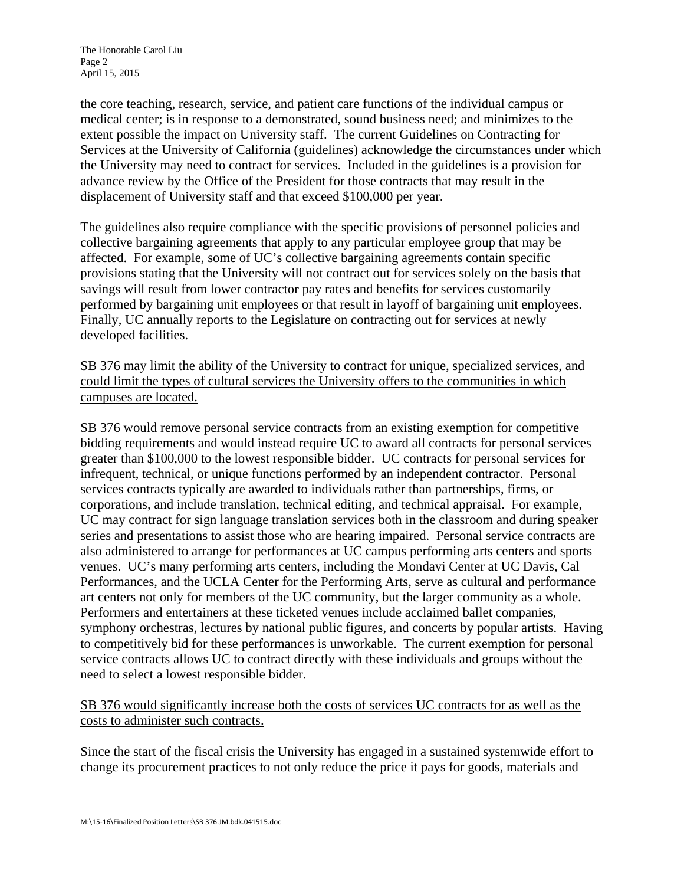the core teaching, research, service, and patient care functions of the individual campus or medical center; is in response to a demonstrated, sound business need; and minimizes to the extent possible the impact on University staff. The current Guidelines on Contracting for Services at the University of California (guidelines) acknowledge the circumstances under which the University may need to contract for services. Included in the guidelines is a provision for advance review by the Office of the President for those contracts that may result in the displacement of University staff and that exceed \$100,000 per year.

The guidelines also require compliance with the specific provisions of personnel policies and collective bargaining agreements that apply to any particular employee group that may be affected. For example, some of UC's collective bargaining agreements contain specific provisions stating that the University will not contract out for services solely on the basis that savings will result from lower contractor pay rates and benefits for services customarily performed by bargaining unit employees or that result in layoff of bargaining unit employees. Finally, UC annually reports to the Legislature on contracting out for services at newly developed facilities.

SB 376 may limit the ability of the University to contract for unique, specialized services, and could limit the types of cultural services the University offers to the communities in which campuses are located.

SB 376 would remove personal service contracts from an existing exemption for competitive bidding requirements and would instead require UC to award all contracts for personal services greater than \$100,000 to the lowest responsible bidder. UC contracts for personal services for infrequent, technical, or unique functions performed by an independent contractor. Personal services contracts typically are awarded to individuals rather than partnerships, firms, or corporations, and include translation, technical editing, and technical appraisal. For example, UC may contract for sign language translation services both in the classroom and during speaker series and presentations to assist those who are hearing impaired. Personal service contracts are also administered to arrange for performances at UC campus performing arts centers and sports venues. UC's many performing arts centers, including the Mondavi Center at UC Davis, Cal Performances, and the UCLA Center for the Performing Arts, serve as cultural and performance art centers not only for members of the UC community, but the larger community as a whole. Performers and entertainers at these ticketed venues include acclaimed ballet companies, symphony orchestras, lectures by national public figures, and concerts by popular artists. Having to competitively bid for these performances is unworkable. The current exemption for personal service contracts allows UC to contract directly with these individuals and groups without the need to select a lowest responsible bidder.

SB 376 would significantly increase both the costs of services UC contracts for as well as the costs to administer such contracts.

Since the start of the fiscal crisis the University has engaged in a sustained systemwide effort to change its procurement practices to not only reduce the price it pays for goods, materials and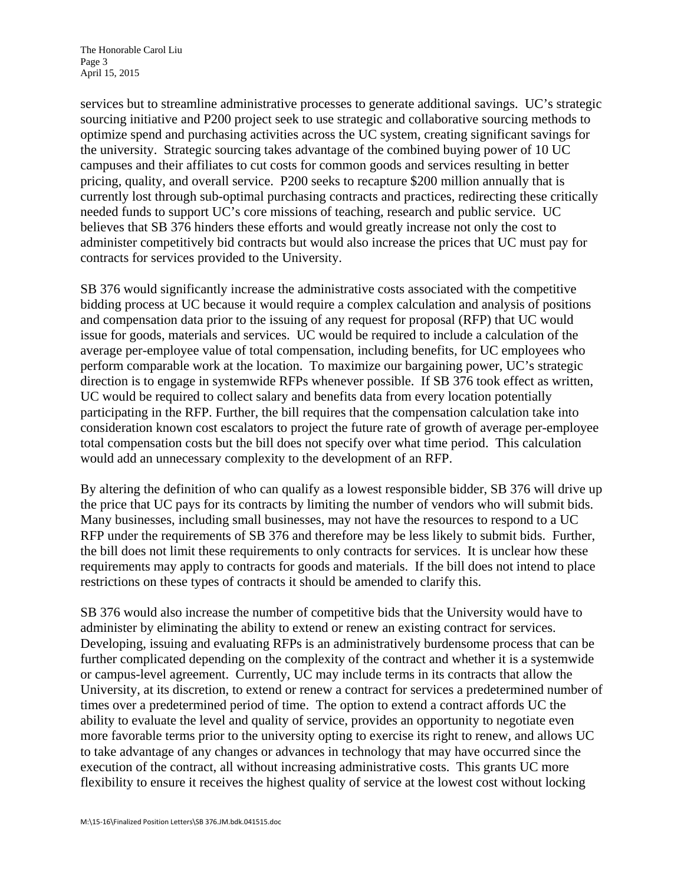The Honorable Carol Liu Page 3 April 15, 2015

services but to streamline administrative processes to generate additional savings. UC's strategic sourcing initiative and P200 project seek to use strategic and collaborative sourcing methods to optimize spend and purchasing activities across the UC system, creating significant savings for the university. Strategic sourcing takes advantage of the combined buying power of 10 UC campuses and their affiliates to cut costs for common goods and services resulting in better pricing, quality, and overall service. P200 seeks to recapture \$200 million annually that is currently lost through sub-optimal purchasing contracts and practices, redirecting these critically needed funds to support UC's core missions of teaching, research and public service. UC believes that SB 376 hinders these efforts and would greatly increase not only the cost to administer competitively bid contracts but would also increase the prices that UC must pay for contracts for services provided to the University.

SB 376 would significantly increase the administrative costs associated with the competitive bidding process at UC because it would require a complex calculation and analysis of positions and compensation data prior to the issuing of any request for proposal (RFP) that UC would issue for goods, materials and services. UC would be required to include a calculation of the average per-employee value of total compensation, including benefits, for UC employees who perform comparable work at the location. To maximize our bargaining power, UC's strategic direction is to engage in systemwide RFPs whenever possible. If SB 376 took effect as written, UC would be required to collect salary and benefits data from every location potentially participating in the RFP. Further, the bill requires that the compensation calculation take into consideration known cost escalators to project the future rate of growth of average per-employee total compensation costs but the bill does not specify over what time period. This calculation would add an unnecessary complexity to the development of an RFP.

By altering the definition of who can qualify as a lowest responsible bidder, SB 376 will drive up the price that UC pays for its contracts by limiting the number of vendors who will submit bids. Many businesses, including small businesses, may not have the resources to respond to a UC RFP under the requirements of SB 376 and therefore may be less likely to submit bids. Further, the bill does not limit these requirements to only contracts for services. It is unclear how these requirements may apply to contracts for goods and materials. If the bill does not intend to place restrictions on these types of contracts it should be amended to clarify this.

SB 376 would also increase the number of competitive bids that the University would have to administer by eliminating the ability to extend or renew an existing contract for services. Developing, issuing and evaluating RFPs is an administratively burdensome process that can be further complicated depending on the complexity of the contract and whether it is a systemwide or campus-level agreement. Currently, UC may include terms in its contracts that allow the University, at its discretion, to extend or renew a contract for services a predetermined number of times over a predetermined period of time. The option to extend a contract affords UC the ability to evaluate the level and quality of service, provides an opportunity to negotiate even more favorable terms prior to the university opting to exercise its right to renew, and allows UC to take advantage of any changes or advances in technology that may have occurred since the execution of the contract, all without increasing administrative costs. This grants UC more flexibility to ensure it receives the highest quality of service at the lowest cost without locking